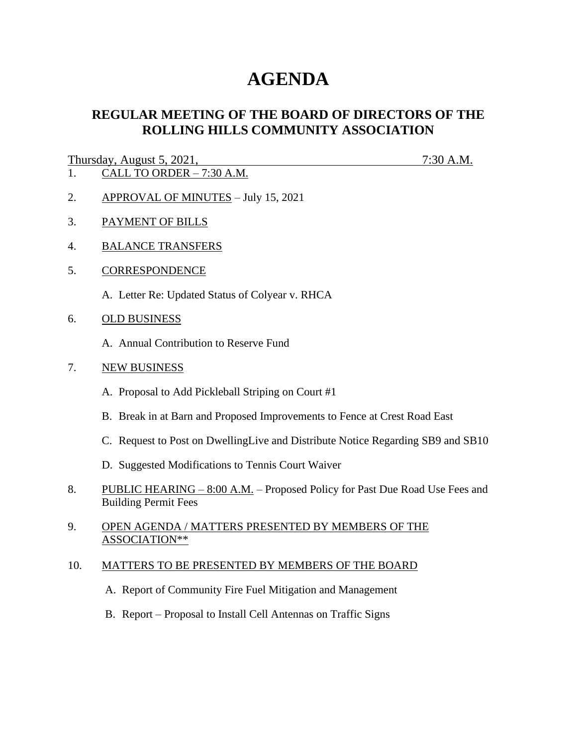# **AGENDA**

## **REGULAR MEETING OF THE BOARD OF DIRECTORS OF THE ROLLING HILLS COMMUNITY ASSOCIATION**

### Thursday, August 5, 2021, 7:30 A.M.

- $\overline{1.}$  CALL TO ORDER 7:30 A.M.
- 2. APPROVAL OF MINUTES July 15, 2021
- 3. PAYMENT OF BILLS
- 4. BALANCE TRANSFERS
- 5. CORRESPONDENCE
	- A. Letter Re: Updated Status of Colyear v. RHCA
- 6. OLD BUSINESS
	- A. Annual Contribution to Reserve Fund
- 7. NEW BUSINESS
	- A. Proposal to Add Pickleball Striping on Court #1
	- B. Break in at Barn and Proposed Improvements to Fence at Crest Road East
	- C. Request to Post on DwellingLive and Distribute Notice Regarding SB9 and SB10
	- D. Suggested Modifications to Tennis Court Waiver
- 8. PUBLIC HEARING 8:00 A.M. Proposed Policy for Past Due Road Use Fees and Building Permit Fees
- 9. OPEN AGENDA / MATTERS PRESENTED BY MEMBERS OF THE ASSOCIATION\*\*

#### 10. MATTERS TO BE PRESENTED BY MEMBERS OF THE BOARD

- A. Report of Community Fire Fuel Mitigation and Management
- B. Report Proposal to Install Cell Antennas on Traffic Signs